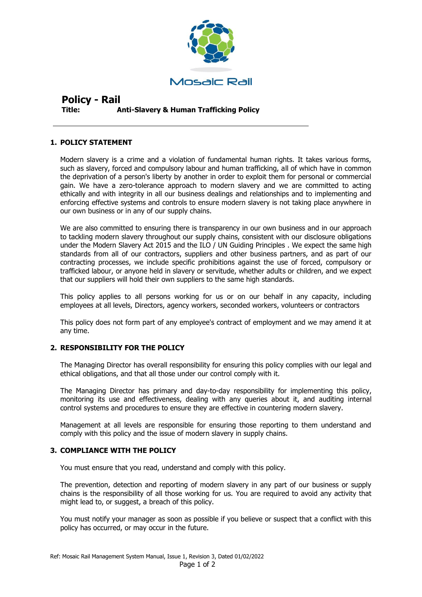

# **Policy - Rail Title: Anti-Slavery & Human Trafficking Policy**

## **1. POLICY STATEMENT**

Modern slavery is a crime and a violation of fundamental human rights. It takes various forms, such as slavery, forced and compulsory labour and human trafficking, all of which have in common the deprivation of a person's liberty by another in order to exploit them for personal or commercial gain. We have a zero-tolerance approach to modern slavery and we are committed to acting ethically and with integrity in all our business dealings and relationships and to implementing and enforcing effective systems and controls to ensure modern slavery is not taking place anywhere in our own business or in any of our supply chains.

We are also committed to ensuring there is transparency in our own business and in our approach to tackling modern slavery throughout our supply chains, consistent with our disclosure obligations under the Modern Slavery Act 2015 and the ILO / UN Guiding Principles . We expect the same high standards from all of our contractors, suppliers and other business partners, and as part of our contracting processes, we include specific prohibitions against the use of forced, compulsory or trafficked labour, or anyone held in slavery or servitude, whether adults or children, and we expect that our suppliers will hold their own suppliers to the same high standards.

This policy applies to all persons working for us or on our behalf in any capacity, including employees at all levels, Directors, agency workers, seconded workers, volunteers or contractors

This policy does not form part of any employee's contract of employment and we may amend it at any time.

### **2. RESPONSIBILITY FOR THE POLICY**

The Managing Director has overall responsibility for ensuring this policy complies with our legal and ethical obligations, and that all those under our control comply with it.

The Managing Director has primary and day-to-day responsibility for implementing this policy, monitoring its use and effectiveness, dealing with any queries about it, and auditing internal control systems and procedures to ensure they are effective in countering modern slavery.

Management at all levels are responsible for ensuring those reporting to them understand and comply with this policy and the issue of modern slavery in supply chains.

#### **3. COMPLIANCE WITH THE POLICY**

You must ensure that you read, understand and comply with this policy.

The prevention, detection and reporting of modern slavery in any part of our business or supply chains is the responsibility of all those working for us. You are required to avoid any activity that might lead to, or suggest, a breach of this policy.

You must notify your manager as soon as possible if you believe or suspect that a conflict with this policy has occurred, or may occur in the future.